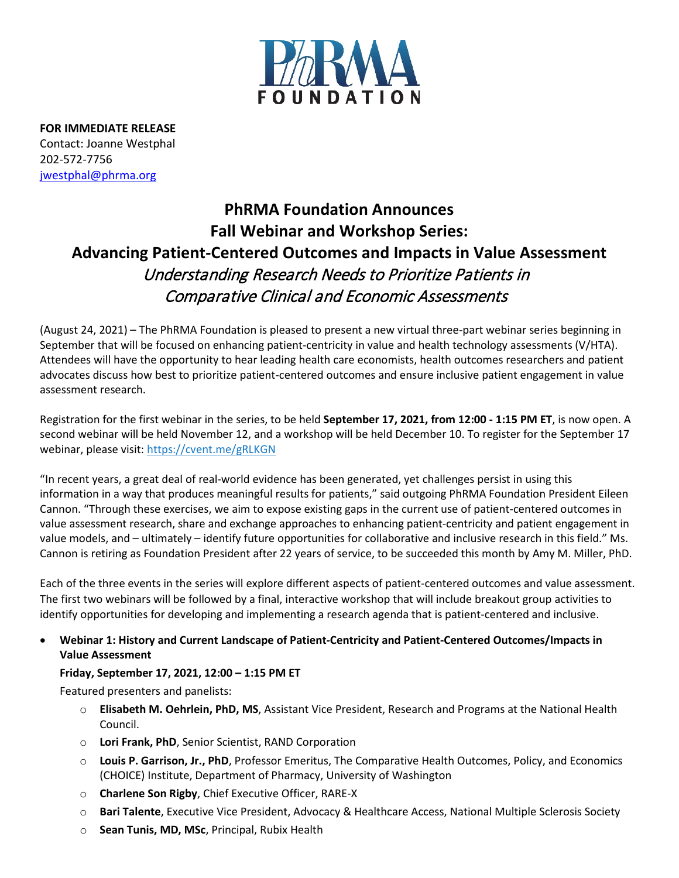

**FOR IMMEDIATE RELEASE** Contact: Joanne Westphal 202-572-7756 [jwestphal@phrma.org](mailto:jwestphal@phrma.org)

## **PhRMA Foundation Announces Fall Webinar and Workshop Series: Advancing Patient-Centered Outcomes and Impacts in Value Assessment** Understanding Research Needs to Prioritize Patients in Comparative Clinical and Economic Assessments

(August 24, 2021) – The PhRMA Foundation is pleased to present a new virtual three-part webinar series beginning in September that will be focused on enhancing patient-centricity in value and health technology assessments (V/HTA). Attendees will have the opportunity to hear leading health care economists, health outcomes researchers and patient advocates discuss how best to prioritize patient-centered outcomes and ensure inclusive patient engagement in value assessment research.

Registration for the first webinar in the series, to be held **September 17, 2021, from 12:00 - 1:15 PM ET**, is now open. A second webinar will be held November 12, and a workshop will be held December 10. To register for the September 17 webinar, please visit: <https://cvent.me/gRLKGN>

"In recent years, a great deal of real-world evidence has been generated, yet challenges persist in using this information in a way that produces meaningful results for patients," said outgoing PhRMA Foundation President Eileen Cannon. "Through these exercises, we aim to expose existing gaps in the current use of patient-centered outcomes in value assessment research, share and exchange approaches to enhancing patient-centricity and patient engagement in value models, and – ultimately – identify future opportunities for collaborative and inclusive research in this field." Ms. Cannon is retiring as Foundation President after 22 years of service, to be succeeded this month by Amy M. Miller, PhD.

Each of the three events in the series will explore different aspects of patient-centered outcomes and value assessment. The first two webinars will be followed by a final, interactive workshop that will include breakout group activities to identify opportunities for developing and implementing a research agenda that is patient-centered and inclusive.

• **Webinar 1: History and Current Landscape of Patient-Centricity and Patient-Centered Outcomes/Impacts in Value Assessment**

## **Friday, September 17, 2021, 12:00 – 1:15 PM ET**

Featured presenters and panelists:

- o **Elisabeth M. Oehrlein, PhD, MS**, Assistant Vice President, Research and Programs at the National Health Council.
- o **Lori Frank, PhD**, Senior Scientist, RAND Corporation
- o **Louis P. Garrison, Jr., PhD**, Professor Emeritus, The Comparative Health Outcomes, Policy, and Economics (CHOICE) Institute, Department of Pharmacy, University of Washington
- o **Charlene Son Rigby**, Chief Executive Officer, RARE-X
- o **Bari Talente**, Executive Vice President, Advocacy & Healthcare Access, National Multiple Sclerosis Society
- o **Sean Tunis, MD, MSc**, Principal, Rubix Health